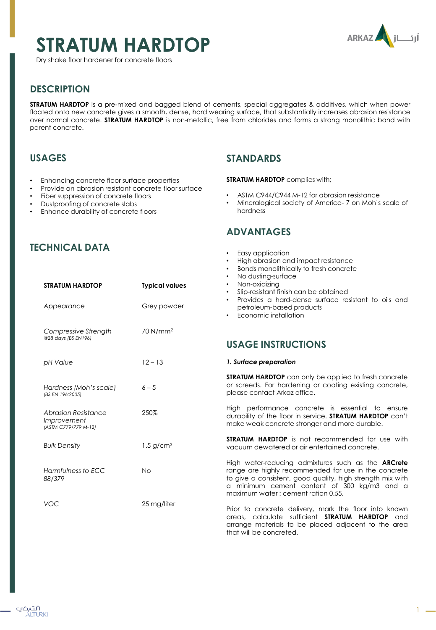# **STRATUM HARDTOP**



Dry shake floor hardener for concrete floors



1

# **DESCRIPTION**

**STRATUM HARDTOP** is a pre-mixed and bagged blend of cements, special aggregates & additives, which when power floated onto new concrete gives a smooth, dense, hard wearing surface, that substantially increases abrasion resistance over normal concrete. **STRATUM HARDTOP** is non-metallic, free from chlorides and forms a strong monolithic bond with parent concrete.

# **USAGES**

- Enhancing concrete floor surface properties
- Provide an abrasion resistant concrete floor surface
- Fiber suppression of concrete floors
- Dustproofing of concrete slabs
- Enhance durability of concrete floors

### **STANDARDS**

#### **STRATUM HARDTOP** complies with;

- ASTM C944/C944 M-12 for abrasion resistance
- Mineralogical society of America- 7 on Moh's scale of hardness

# **ADVANTAGES**

that will be concreted.

| JIINIVAL PAIA                                                     |                         | Easy application<br>High abrasion and impact resistance<br>Bonds monolithically to fresh concrete<br>$\bullet$<br>No dusting-surface<br>$\bullet$                                                                                                                    |
|-------------------------------------------------------------------|-------------------------|----------------------------------------------------------------------------------------------------------------------------------------------------------------------------------------------------------------------------------------------------------------------|
| <b>STRATUM HARDTOP</b>                                            | <b>Typical values</b>   | Non-oxidizing<br>Slip-resistant finish can be obtained<br>Provides a hard-dense surface resistant to oils and                                                                                                                                                        |
| Appearance                                                        | Grey powder             | petroleum-based products<br>Economic installation                                                                                                                                                                                                                    |
| Compressive Strength<br>@28 days (BS EN196)                       | 70 N/mm <sup>2</sup>    |                                                                                                                                                                                                                                                                      |
|                                                                   |                         | <b>USAGE INSTRUCTIONS</b>                                                                                                                                                                                                                                            |
| pH Value                                                          | $12 - 13$               | 1. Surface preparation                                                                                                                                                                                                                                               |
| Hardness (Moh's scale)<br>(BS EN 196:2005)                        | $6 - 5$                 | <b>STRATUM HARDTOP</b> can only be applied to fresh concrete<br>or screeds. For hardening or coating existing concrete,<br>please contact Arkaz office.                                                                                                              |
| <b>Abrasion Resistance</b><br>Improvement<br>(ASTM C779/779 M-12) | 250%                    | High performance concrete is essential to ensure<br>durability of the floor in service. STRATUM HARDTOP can't<br>make weak concrete stronger and more durable.                                                                                                       |
| <b>Bulk Density</b>                                               | $1.5$ g/cm <sup>3</sup> | <b>STRATUM HARDTOP</b> is not recommended for use with<br>vacuum dewatered or air entertained concrete.                                                                                                                                                              |
| Harmfulness to ECC<br>88/379                                      | <b>No</b>               | High water-reducing admixtures such as the <b>ARCrete</b><br>range are highly recommended for use in the concrete<br>to give a consistent, good quality, high strength mix with<br>a minimum cement content of 300 kg/m3 and a<br>maximum water: cement ration 0.55. |
| <b>VOC</b>                                                        | 25 mg/liter             | Prior to concrete delivery, mark the floor into known<br>areas, calculate sufficient <b>STRATUM HARDTOP</b><br>and<br>arrange materials to be placed adjacent to the area                                                                                            |

# **TECHNICAL DATA**